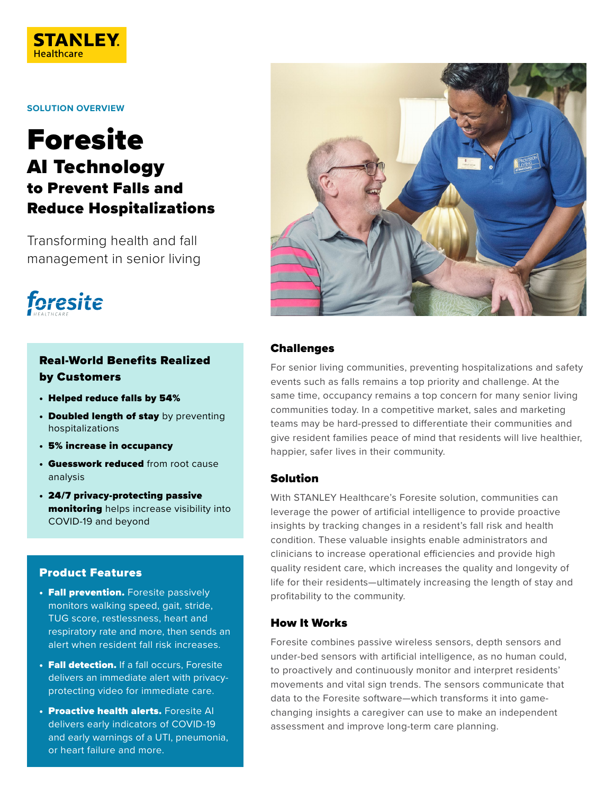

**SOLUTION OVERVIEW**

# Foresite AI Technology to Prevent Falls and Reduce Hospitalizations

Transforming health and fall management in senior living



# Real-World Benefits Realized by Customers

- Helped reduce falls by 54%
- Doubled length of stay by preventing hospitalizations
- 5% increase in occupancy
- **Guesswork reduced** from root cause analysis
- 24/7 privacy-protecting passive monitoring helps increase visibility into COVID-19 and beyond

### Product Features

- **Fall prevention.** Foresite passively monitors walking speed, gait, stride, TUG score, restlessness, heart and respiratory rate and more, then sends an alert when resident fall risk increases.
- Fall detection. If a fall occurs, Foresite delivers an immediate alert with privacyprotecting video for immediate care.
- **Proactive health alerts.** Foresite AI delivers early indicators of COVID-19 and early warnings of a UTI, pneumonia, or heart failure and more.



#### Challenges

For senior living communities, preventing hospitalizations and safety events such as falls remains a top priority and challenge. At the same time, occupancy remains a top concern for many senior living communities today. In a competitive market, sales and marketing teams may be hard-pressed to differentiate their communities and give resident families peace of mind that residents will live healthier, happier, safer lives in their community.

#### Solution

With STANLEY Healthcare's Foresite solution, communities can leverage the power of artificial intelligence to provide proactive insights by tracking changes in a resident's fall risk and health condition. These valuable insights enable administrators and clinicians to increase operational efficiencies and provide high quality resident care, which increases the quality and longevity of life for their residents—ultimately increasing the length of stay and profitability to the community.

## How It Works

Foresite combines passive wireless sensors, depth sensors and under-bed sensors with artificial intelligence, as no human could, to proactively and continuously monitor and interpret residents' movements and vital sign trends. The sensors communicate that data to the Foresite software—which transforms it into gamechanging insights a caregiver can use to make an independent assessment and improve long-term care planning.